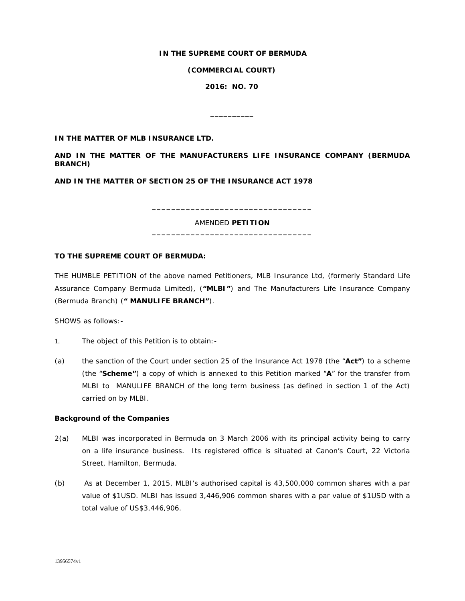## **IN THE SUPREME COURT OF BERMUDA**

**(COMMERCIAL COURT)**

**2016: NO. 70**

\_\_\_\_\_\_\_\_\_\_

**IN THE MATTER OF MLB INSURANCE LTD.**

**AND IN THE MATTER OF THE MANUFACTURERS LIFE INSURANCE COMPANY (BERMUDA BRANCH)**

**AND IN THE MATTER OF SECTION 25 OF THE INSURANCE ACT 1978**

AMENDED **PETITION \_\_\_\_\_\_\_\_\_\_\_\_\_\_\_\_\_\_\_\_\_\_\_\_\_\_\_\_\_\_\_\_\_**

**\_\_\_\_\_\_\_\_\_\_\_\_\_\_\_\_\_\_\_\_\_\_\_\_\_\_\_\_\_\_\_\_\_**

# **TO THE SUPREME COURT OF BERMUDA:**

THE HUMBLE PETITION of the above named Petitioners, MLB Insurance Ltd, (formerly Standard Life Assurance Company Bermuda Limited), (**"MLBI"**) and The Manufacturers Life Insurance Company (Bermuda Branch) (*"* **MANULIFE BRANCH"**).

SHOWS as follows:-

- 1. The object of this Petition is to obtain:-
- (a) the sanction of the Court under section 25 of the Insurance Act 1978 (the "**Act"**) to a scheme (the "**Scheme"**) a copy of which is annexed to this Petition marked "**A**" for the transfer from MLBI to MANULIFE BRANCH of the long term business (as defined in section 1 of the Act) carried on by MLBI.

#### **Background of the Companies**

- 2(a) MLBI was incorporated in Bermuda on 3 March 2006 with its principal activity being to carry on a life insurance business. Its registered office is situated at Canon's Court, 22 Victoria Street, Hamilton, Bermuda.
- (b) As at December 1, 2015, MLBI's authorised capital is 43,500,000 common shares with a par value of \$1USD. MLBI has issued 3,446,906 common shares with a par value of \$1USD with a total value of US\$3,446,906.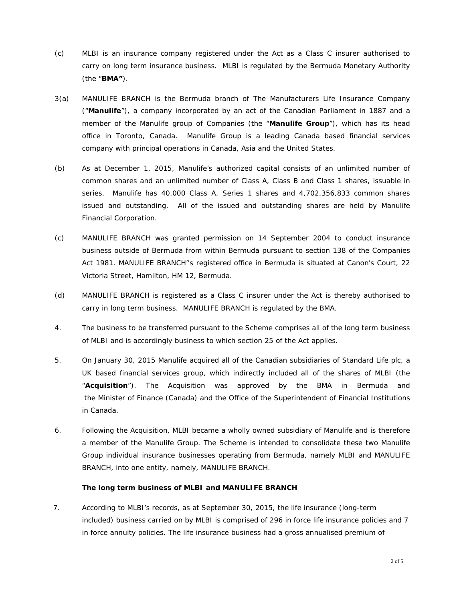- (c) MLBI is an insurance company registered under the Act as a Class C insurer authorised to carry on long term insurance business. MLBI is regulated by the Bermuda Monetary Authority (the "**BMA"**).
- 3(a) MANULIFE BRANCH is the Bermuda branch of The Manufacturers Life Insurance Company ("**Manulife**"), a company incorporated by an act of the Canadian Parliament in 1887 and a member of the Manulife group of Companies (the "**Manulife Group**"), which has its head office in Toronto, Canada. Manulife Group is a leading Canada based financial services company with principal operations in Canada, Asia and the United States.
- (b) As at December 1, 2015, Manulife's authorized capital consists of an unlimited number of common shares and an unlimited number of Class A, Class B and Class 1 shares, issuable in series. Manulife has 40,000 Class A, Series 1 shares and 4,702,356,833 common shares issued and outstanding. All of the issued and outstanding shares are held by Manulife Financial Corporation*.*
- (c) MANULIFE BRANCH was granted permission on 14 September 2004 to conduct insurance business outside of Bermuda from within Bermuda pursuant to section 138 of the Companies Act 1981. MANULIFE BRANCH''s registered office in Bermuda is situated at Canon's Court, 22 Victoria Street, Hamilton, HM 12, Bermuda.
- (d) MANULIFE BRANCH is registered as a Class C insurer under the Act is thereby authorised to carry in long term business. MANULIFE BRANCH is regulated by the BMA.
- 4. The business to be transferred pursuant to the Scheme comprises all of the long term business of MLBI and is accordingly business to which section 25 of the Act applies.
- 5. On January 30, 2015 Manulife acquired all of the Canadian subsidiaries of Standard Life plc, a UK based financial services group, which indirectly included all of the shares of MLBI (the "**Acquisition**"). The Acquisition was approved by the BMA in Bermuda and the Minister of Finance (Canada) and the Office of the Superintendent of Financial Institutions in Canada.
- 6. Following the Acquisition, MLBI became a wholly owned subsidiary of Manulife and is therefore a member of the Manulife Group. The Scheme is intended to consolidate these two Manulife Group individual insurance businesses operating from Bermuda, namely MLBI and MANULIFE BRANCH, into one entity, namely, MANULIFE BRANCH.

# **The long term business of MLBI and MANULIFE BRANCH**

 7. According to MLBI's records, as at September 30, 2015, the life insurance (long-term included) business carried on by MLBI is comprised of 296 in force life insurance policies and 7 in force annuity policies. The life insurance business had a gross annualised premium of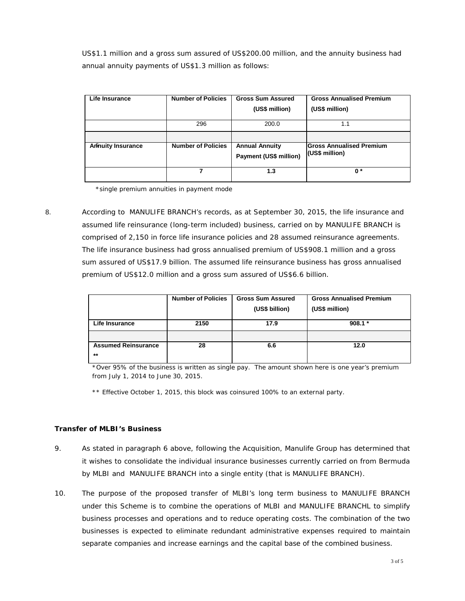US\$1.1 million and a gross sum assured of US\$200.00 million, and the annuity business had annual annuity payments of US\$1.3 million as follows:

| Life Insurance            | <b>Number of Policies</b> | <b>Gross Sum Assured</b>                        | <b>Gross Annualised Premium</b>                   |
|---------------------------|---------------------------|-------------------------------------------------|---------------------------------------------------|
|                           |                           | (US\$ million)                                  | (US\$ million)                                    |
|                           | 296                       | 200.0                                           | 1.1                                               |
|                           |                           |                                                 |                                                   |
|                           |                           |                                                 |                                                   |
| <b>Aminuity Insurance</b> | <b>Number of Policies</b> | <b>Annual Annuity</b><br>Payment (US\$ million) | <b>Gross Annualised Premium</b><br>(US\$ million) |
|                           |                           | 1.3                                             | $\mathbf{0}^*$                                    |

\*single premium annuities in payment mode

 8. According to MANULIFE BRANCH's records, as at September 30, 2015, the life insurance and assumed life reinsurance (long-term included) business, carried on by MANULIFE BRANCH is comprised of 2,150 in force life insurance policies and 28 assumed reinsurance agreements. The life insurance business had gross annualised premium of US\$908.1 million and a gross sum assured of US\$17.9 billion. The assumed life reinsurance business has gross annualised premium of US\$12.0 million and a gross sum assured of US\$6.6 billion.

|                            | <b>Number of Policies</b> | <b>Gross Sum Assured</b> | <b>Gross Annualised Premium</b> |
|----------------------------|---------------------------|--------------------------|---------------------------------|
|                            |                           | (US\$ billion)           | (US\$ million)                  |
| Life Insurance             | 2150                      | 17.9                     | $908.1*$                        |
|                            |                           |                          |                                 |
| <b>Assumed Reinsurance</b> | 28                        | 6.6                      | 12.0                            |
| $**$                       |                           |                          |                                 |

\*Over 95% of the business is written as single pay. The amount shown here is one year's premium from July 1, 2014 to June 30, 2015.

\*\* Effective October 1, 2015, this block was coinsured 100% to an external party.

# **Transfer of MLBI's Business**

- 9. As stated in paragraph 6 above, following the Acquisition, Manulife Group has determined that it wishes to consolidate the individual insurance businesses currently carried on from Bermuda by MLBI and MANULIFE BRANCH into a single entity (that is MANULIFE BRANCH).
- 10. The purpose of the proposed transfer of MLBI's long term business to MANULIFE BRANCH under this Scheme is to combine the operations of MLBI and MANULIFE BRANCHL to simplify business processes and operations and to reduce operating costs. The combination of the two businesses is expected to eliminate redundant administrative expenses required to maintain separate companies and increase earnings and the capital base of the combined business.

3 of 5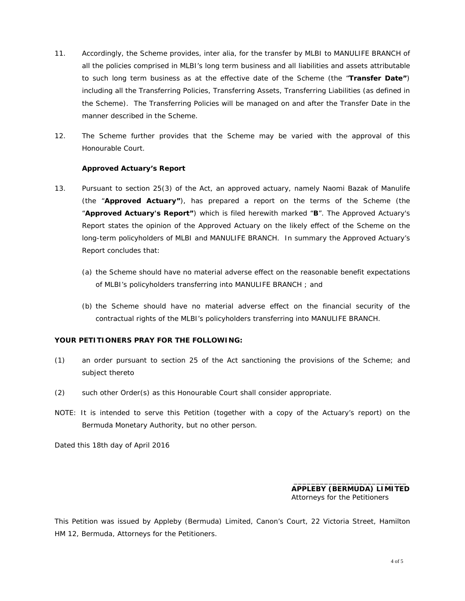- 11. Accordingly, the Scheme provides, *inter alia*, for the transfer by MLBI to MANULIFE BRANCH of all the policies comprised in MLBI's long term business and all liabilities and assets attributable to such long term business as at the effective date of the Scheme (the "**Transfer Date"**) including all the Transferring Policies, Transferring Assets, Transferring Liabilities (as defined in the Scheme). The Transferring Policies will be managed on and after the Transfer Date in the manner described in the Scheme.
- 12. The Scheme further provides that the Scheme may be varied with the approval of this Honourable Court.

#### **Approved Actuary's Report**

- 13. Pursuant to section 25(3) of the Act, an approved actuary, namely Naomi Bazak of Manulife (the "**Approved Actuary"**), has prepared a report on the terms of the Scheme (the "**Approved Actuary's Report"**) which is filed herewith marked "**B**". The Approved Actuary's Report states the opinion of the Approved Actuary on the likely effect of the Scheme on the long-term policyholders of MLBI and MANULIFE BRANCH. In summary the Approved Actuary's Report concludes that:
	- (a) the Scheme should have no material adverse effect on the reasonable benefit expectations of MLBI's policyholders transferring into MANULIFE BRANCH ; and
	- (b) the Scheme should have no material adverse effect on the financial security of the contractual rights of the MLBI's policyholders transferring into MANULIFE BRANCH.

# **YOUR PETITIONERS PRAY FOR THE FOLLOWING:**

- (1) an order pursuant to section 25 of the Act sanctioning the provisions of the Scheme; and subject thereto
- (2) such other Order(s) as this Honourable Court shall consider appropriate.
- NOTE: It is intended to serve this Petition (together with a copy of the Actuary's report) on the Bermuda Monetary Authority, but no other person.

Dated this 18th day of April 2016

 $\overline{\phantom{a}}$  , and the contract of the contract of the contract of the contract of the contract of the contract of the contract of the contract of the contract of the contract of the contract of the contract of the contrac **APPLEBY (BERMUDA) LIMITED** Attorneys for the Petitioners

This Petition was issued by Appleby (Bermuda) Limited, Canon's Court, 22 Victoria Street, Hamilton HM 12, Bermuda, Attorneys for the Petitioners.